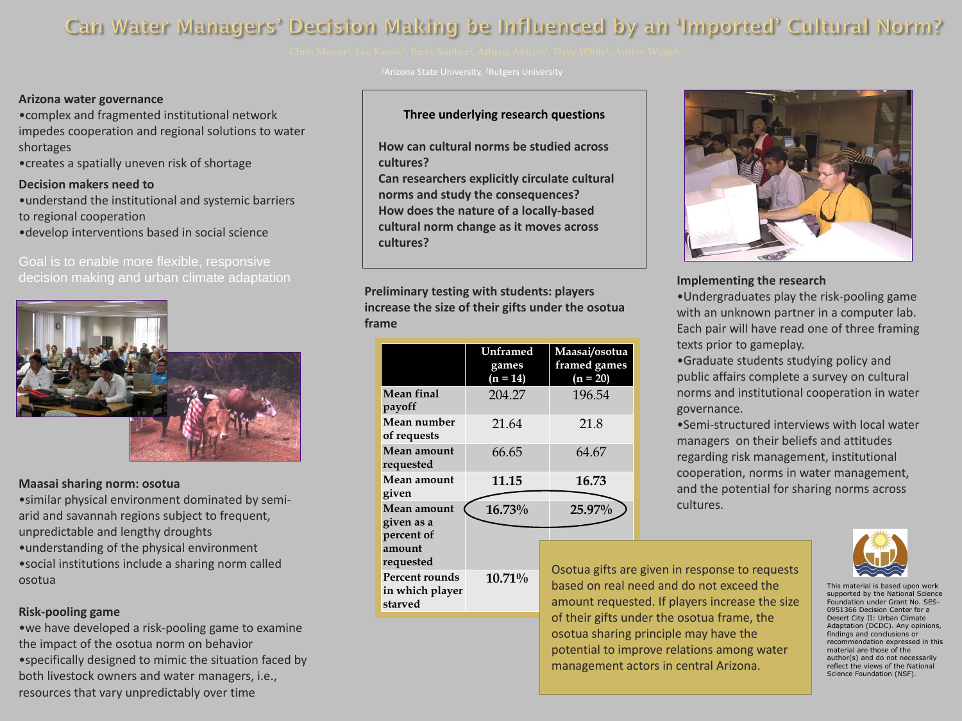This material is based upon work supported by the National Science Foundation under Grant No. SES-0951366 Decision Center for a Desert City II: Urban Climate Adaptation (DCDC). Any opinions, findings and conclusions or recommendation expressed in this material are those of the author(s) and do not necessarily reflect the views of the National Science Foundation (NSF).

**Preliminary testing with students: players increase the size of their gifts under the osotua frame**

#### **Arizona water governance**

• we have developed a risk-pooling game to examine the impact of the osotua norm on behavior •specifically designed to mimic the situation faced by both livestock owners and water managers, i.e., resources that vary unpredictably over time

•complex and fragmented institutional network impedes cooperation and regional solutions to water shortages





<sup>1</sup>Arizona State University, <sup>2</sup>Rutgers University

•creates a spatially uneven risk of shortage

#### **Maasai sharing norm: osotua**

•similar physical environment dominated by semiarid and savannah regions subject to frequent, unpredictable and lengthy droughts •understanding of the physical environment •social institutions include a sharing norm called osotua

# **Risk-pooling game**

# **Three underlying research questions**

**How can cultural norms be studied across cultures? Can researchers explicitly circulate cultural norms and study the consequences? How does the nature of a locally-based cultural norm change as it moves across cultures?**

> e given in response to requests eed and do not exceed the sted. If players increase the size of their gifts under the osotua frame, the osotua sharing principle may have the potential to improve relations among water management actors in central Arizona.

### **Implementing the research**

•Undergraduates play the risk-pooling game with an unknown partner in a computer lab. Each pair will have read one of three framing

•Graduate students studying policy and public affairs complete a survey on cultural norms and institutional cooperation in water

texts prior to gameplay. governance. cultures.

•Semi-structured interviews with local water managers on their beliefs and attitudes regarding risk management, institutional cooperation, norms in water management, and the potential for sharing norms across



|                                                     | Unframed<br>games<br>$(n = 14)$ | Maasai/osotua<br>framed games<br>$(n = 20)$           |
|-----------------------------------------------------|---------------------------------|-------------------------------------------------------|
| <b>Mean final</b><br>payoff                         | 204.27                          | 196.54                                                |
| <b>Mean number</b><br>of requests                   | 21.64                           | 21.8                                                  |
| <b>Mean amount</b><br>requested                     | 66.65                           | 64.67                                                 |
| Mean amount<br>given                                | 11.15                           | 16.73                                                 |
| Mean amount<br>given as a<br>percent of             | 16.73%                          | 25.97%                                                |
| amount<br>requested                                 |                                 |                                                       |
| <b>Percent rounds</b><br>in which player<br>starved | 10.71%                          | Osotua gifts are<br>based on real n<br>amount request |

# Can Water Managers' Decision Making be Influenced by an 'Imported' Cultural Norm?



# **Decision makers need to**

•understand the institutional and systemic barriers to regional cooperation

•develop interventions based in social science

Goal is to enable more flexible, responsive decision making and urban climate adaptation